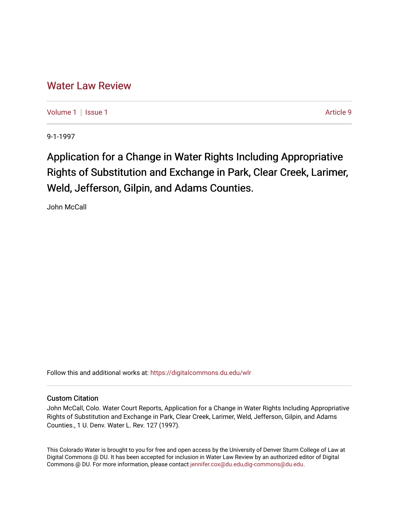# [Water Law Review](https://digitalcommons.du.edu/wlr)

[Volume 1](https://digitalcommons.du.edu/wlr/vol1) | [Issue 1](https://digitalcommons.du.edu/wlr/vol1/iss1) Article 9

9-1-1997

# Application for a Change in Water Rights Including Appropriative Rights of Substitution and Exchange in Park, Clear Creek, Larimer, Weld, Jefferson, Gilpin, and Adams Counties.

John McCall

Follow this and additional works at: [https://digitalcommons.du.edu/wlr](https://digitalcommons.du.edu/wlr?utm_source=digitalcommons.du.edu%2Fwlr%2Fvol1%2Fiss1%2F9&utm_medium=PDF&utm_campaign=PDFCoverPages) 

## Custom Citation

John McCall, Colo. Water Court Reports, Application for a Change in Water Rights Including Appropriative Rights of Substitution and Exchange in Park, Clear Creek, Larimer, Weld, Jefferson, Gilpin, and Adams Counties., 1 U. Denv. Water L. Rev. 127 (1997).

This Colorado Water is brought to you for free and open access by the University of Denver Sturm College of Law at Digital Commons @ DU. It has been accepted for inclusion in Water Law Review by an authorized editor of Digital Commons @ DU. For more information, please contact [jennifer.cox@du.edu,dig-commons@du.edu.](mailto:jennifer.cox@du.edu,dig-commons@du.edu)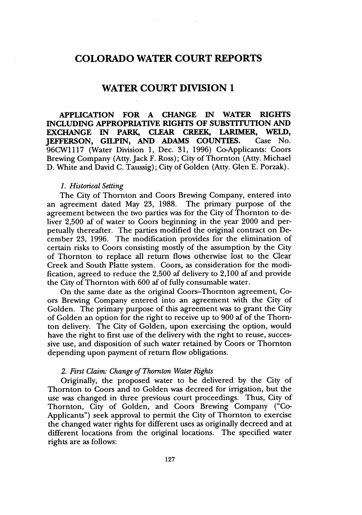# **COLORADO WATER COURT REPORTS**

# **WATER COURT DIVISION 1**

**APPLICATION FOR A CHANGE IN WATER RIGHTS INCLUDING APPROPRIATIVE RIGHTS OF SUBSTITUTION AND EXCHANGE IN PARK, CLEAR CREEK, LARIMER, WELD, JEFFERSON, GILPIN, AND ADAMS COUNTIES.** Case No. 96CW1117 (Water Division **1,.** Dec. 31, 1996) Co-Applicants: Coors Brewing Company (Atty. Jack F. Ross); City of Thornton (Atty. Michael D. White and David C. Taussig); City of Golden (Atty. Glen E. Porzak).

#### *1. Historical Setting*

The City of Thornton and Coors Brewing Company, entered into an agreement dated May **23,** 1988. The primary purpose of the agreement between the two parties was for the City of Thornton to deliver 2,500 af of water to Coors beginning in the year 2000 and perpetually thereafter. The parties modified the original contract on December **23,** 1996. The modification provides for the elimination of certain risks to Coors consisting mostly of the assumption by the City of Thornton to replace all return flows otherwise lost to the Clear Creek and South Platte system. Coors, as consideration for the modification, agreed to reduce the 2,500 af delivery to 2,100 af and provide the City of Thornton with 600 af of fully consumable water.

On the same date as the original Coors-Thornton agreement, Coors Brewing Company entered into an agreement with the City of Golden. The primary purpose of this agreement was to grant the City of Golden an option for the right to receive up to 900 af of the Thornton delivery. The City of Golden, upon exercising the option, would have the right to first use of the delivery with the right to reuse, successive use, and disposition of such water retained by Coors or Thornton depending upon payment of return flow obligations.

#### *2. First Claim: Change of Thornton Water Rights*

Originally, the proposed water to be delivered by the City of Thornton to Coors and to Golden was decreed for irrigation, but the use was changed in three previous court proceedings. Thus, City of Thornton, City of Golden, and Coors Brewing Company ("Co-Applicants") seek approval to permit the City of Thornton to exercise the changed water rights for different uses as originally decreed and at different locations from the original locations. The specified water rights are as follows: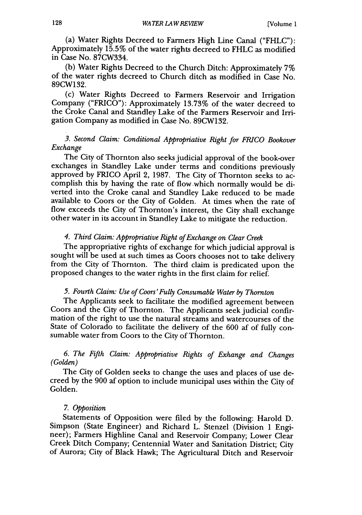(a) Water Rights Decreed to Farmers High Line Canal ("FHLC"): Approximately 15.5% of the water rights decreed to FHLC as modified in Case No. 87CW334.

(b) Water Rights Decreed to the Church Ditch: Approximately 7% of the water rights decreed to Church ditch as modified in Case No. 89CW132.

(c) Water Rights Decreed to Farmers Reservoir and Irrigation Company ("FRICO"): Approximately 13.73% of the water decreed to the Croke Canal and Standley Lake of the Farmers Reservoir and Irrigation Company as modified in Case No. 89CW132.

# *3. Second Claim: Conditional Appropriative Right for FRICO Bookover Exchange*

The City of Thornton also seeks judicial approval of the book-over exchanges in Standley Lake under terms and conditions previously approved by FRICO April 2, 1987. The City of Thornton seeks to accomplish this by having the rate of flow which normally would be diverted into the Croke canal and Standley Lake reduced to be made available to Coors or the City of Golden. At times when the rate of flow exceeds the City of Thornton's interest, the City shall exchange other water in its account in Standley Lake to mitigate the reduction.

#### *4. Third Claim: Appropriative Right of Exchange on Clear Creek*

The appropriative rights of exchange for which judicial approval is sought will be used at such times as Coors chooses not to take delivery from the City of Thornton. The third claim is predicated upon the proposed changes to the water rights in the first claim for relief.

## *5. Fourth Claim: Use of Coors'Fully Consumable Water by Thornton*

The Applicants seek to facilitate the modified agreement between Coors and the City of Thornton. The Applicants seek judicial confirmation of the right to use the natural streams and watercourses of the State of Colorado to facilitate the delivery of the 600 af of fully consumable water from Coors to the City of Thornton.

## *6. The Fifth Claim: Appropriative Rights of Exhange and Changes (Golden)*

The City of Golden seeks to change the uses and places of use decreed by the 900 af option to include municipal uses within the City of Golden.

#### *7. Opposition*

Statements of Opposition were filed by the following: Harold D. Simpson (State Engineer) and Richard L. Stenzel (Division 1 Engineer); Farmers Highline Canal and Reservoir Company; Lower Clear Creek Ditch Company; Centennial Water and Sanitation District; City of Aurora; City of Black Hawk; The Agricultural Ditch and Reservoir